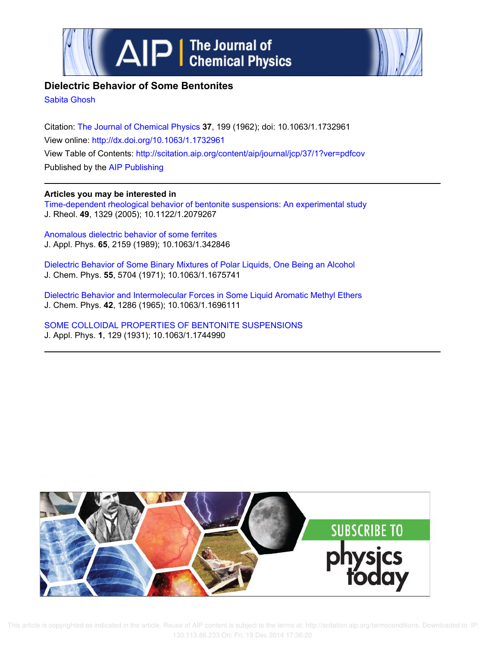



# **Dielectric Behavior of Some Bentonites**

Sabita Ghosh

Citation: The Journal of Chemical Physics **37**, 199 (1962); doi: 10.1063/1.1732961 View online: http://dx.doi.org/10.1063/1.1732961 View Table of Contents: http://scitation.aip.org/content/aip/journal/jcp/37/1?ver=pdfcov Published by the AIP Publishing

# **Articles you may be interested in**

Time-dependent rheological behavior of bentonite suspensions: An experimental study J. Rheol. **49**, 1329 (2005); 10.1122/1.2079267

Anomalous dielectric behavior of some ferrites J. Appl. Phys. **65**, 2159 (1989); 10.1063/1.342846

Dielectric Behavior of Some Binary Mixtures of Polar Liquids, One Being an Alcohol J. Chem. Phys. **55**, 5704 (1971); 10.1063/1.1675741

Dielectric Behavior and Intermolecular Forces in Some Liquid Aromatic Methyl Ethers J. Chem. Phys. **42**, 1286 (1965); 10.1063/1.1696111

SOME COLLOIDAL PROPERTIES OF BENTONITE SUSPENSIONS J. Appl. Phys. **1**, 129 (1931); 10.1063/1.1744990



 This article is copyrighted as indicated in the article. Reuse of AIP content is subject to the terms at: http://scitation.aip.org/termsconditions. Downloaded to IP: 130.113.86.233 On: Fri, 19 Dec 2014 17:36:20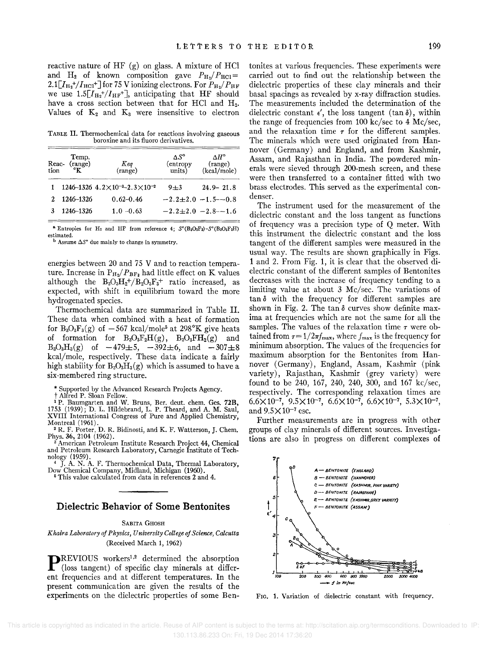reactive nature of HF  $(g)$  on glass. A mixture of HCl and  $H_2$  of known composition gave  $P_{\text{H}_2}/P_{\text{HCl}} =$  $2.1 \left[I_{\text{H}_2}^{+}/I_{\text{HCl}}^{+}\right]$  for 75 V ionizing electrons. For  $P_{\text{H}_2}/P_{\text{HF}}$ we use  $1.5[I_{H_2}^+/I_{HF}^+]$ , anticipating that HF should have a cross section between that for HCl and H<sub>2</sub>. Values of  $K_2$  and  $K_3$  were insensitive to electron

TABLE II. Thermochemical data for reactions involving gaseous boroxine and its Huoro derivatives.

| Reac-<br>tion | Temp.<br>(range)<br>°ĸ | Keq<br>(range)                                    | $\Lambda S^{\circ}$<br>(entropy<br>units) | $\Delta H^{\circ}$<br>(range)<br>(kcal/mole) |
|---------------|------------------------|---------------------------------------------------|-------------------------------------------|----------------------------------------------|
|               |                        | 1246-1326 $4.2\times10^{-3}$ -2.3 $\times10^{-2}$ | $9 + 3$                                   | $24.9 - 21.8$                                |
|               | 1246-1326              | $0.62 - 0.46$                                     |                                           | $-2.2+2.0 -1.5-0.8$                          |
|               | 1246-1326              | $1.0 - 0.63$                                      |                                           | $-2.2+2.0 -2.8-1.6$                          |
|               |                        |                                                   |                                           |                                              |

<sup>8</sup> Entropies for H<sub>2</sub> and HF from reference 4:  $S^{\circ}(\text{B}_3\text{O}_3\text{F}_3) - S^{\circ}(\text{B}_3\text{O}_3\text{F}_2\text{H})$ **estimated.** 

 $\frac{b}{b}$  Assume  $\Delta S^{\circ}$  due mainly to change in symmetry.

energies between 20 and 75 V and to reaction temperature. Increase in  $P_{H_2}/P_{BF_3}$  had little effect on K values although the  $B_3O_3H_2^+/B_2O_3F_3^+$  ratio increased, as expected, with shift in equilibrium toward the more hydrogenated species.

Thermochemical data are summarized in Table II. These data when combined with a heat of formation for  $B_3O_3F_3(g)$  of  $-567$  kcal/mole<sup>5</sup> at 298°K give heats of formation for  $B_3O_3F_2H(g)$ ,  $B_3O_3FH_2(g)$  and  $B_3O_3H_3(g)$  of  $-479\pm5$ ,  $-392\pm6$ , and  $-307\pm8$ kcal/mole, respectively. These data indicate a fairly high stability for  $B_3O_3H_3(g)$  which is assumed to have a six-membered ring structure.

\* Supported by the Advanced Research Projects Agency.

<sup>1</sup> P. Baumgarten and W. Bruns, Ber. deut. chem. Ges. 72B, 1753 (1939); D. L. Hildebrand, L. P. Theard, and A. M. Saul, XVIII International Congress of Pure and Applied Chemistry, Montreal (1961).

<sup>2</sup> R. F. Porter, D. R. Bidinosti, and K. F. Watterson, J. Chem. Phys. 36,2104 (1962).

<sup>3</sup> American Petroleum Institute Research Project 44, Chemical and Petroleum Research Laboratory, Carnegie Institute of Technology (1959).

J. A. N. A. F. Thermochemical Data, Thermal Laboratory, Dow Chemical Company, Midland, Michigan (1960). <sup>6</sup>This value calculated from data in references 2 and 4.

### **Dielectric Behavior of Some Bentonites**

#### SABITA GHOSH

*K haira Laboratory of Physics, University College of Science, Calcutta*  (Received March 1, 1962)

**P**REVIOUS workers<sup>1,2</sup> determined the absorption (loss tangent) of specific clay minerals at different fractional state. REVIOUS workers<sup>1,2</sup> determined the absorption ent frequencies and at different temperatures. In the present communication are given the results of the experiments on the dielectric properties of some Bentonites at various frequencies. These experiments were carried out to find out the relationship between the dielectric properties of these clay minerals and their basal spacings as revealed by x-ray diffraction studies. The measurements included the determination of the dielectric constant  $\epsilon'$ , the loss tangent (tan  $\delta$ ), within the range of frequencies from 100 kc/sec to 4 Mc/sec, and the relaxation time  $\tau$  for the different samples. The minerals which were used originated from Hannover (Germany) and England, and from Kashmir, Assam, and Rajasthan in India. The powdered minerals were sieved through 200-mesh screen, and these were then transferred to a container fitted with two brass electrodes. This served as the experimental condenser.

The instrument used for the measurement of the dielectric constant and the loss tangent as functions of frequency was a precision type of Q meter. With this instrument the dielectric constant and the loss tangent of the different samples were measured in the usual way. The results are shown graphically in Figs. 1 and 2. From Fig. 1, it is clear that the observed dielectric constant of the different samples of Bentonites decreases with the increase of frequency tending to a limiting value at about 3 Mc/sec. The variations of  $\tan \delta$  with the frequency for different samples are shown in Fig. 2. The tan  $\delta$  curves show definite maxima at frequencies which are not the same for all the samples. The values of the relaxation time *T* were obtained from  $\tau = 1/2\pi f_{\text{max}}$ , where  $f_{\text{max}}$  is the frequency for minimum absorption. The values of the frequencies for maximum absorption for the Bentonites from Hannover (Germany), England, Assam, Kashmir (pink variety), Rajasthan, Kashmir (grey variety) were found to be 240, 167, 240, 240, 300, and 167 kc/sec, respectively. The corresponding relaxation times are  $6.6\times10^{-7}$ ,  $9.5\times10^{-7}$ ,  $6.6\times10^{-7}$ ,  $6.6\times10^{-7}$ ,  $5.3\times10^{-7}$ , and  $9.5 \times 10^{-7}$  esc.

Further measurements are in progress with other groups of clay minerals of different sources. Investigations are also in progress on different complexes of



FIG. 1. Variation of dielectric constant with frequency.

t Alfred P. Sloan Fellow.